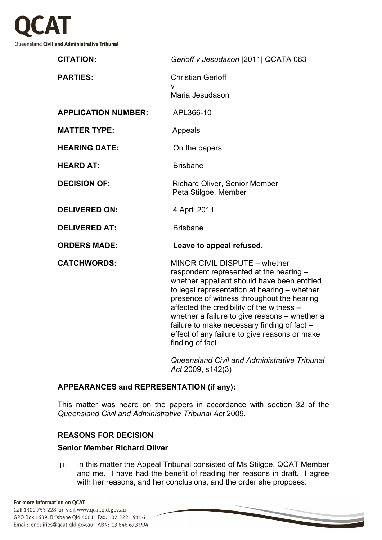

| <b>CITATION:</b>           | Gerloff v Jesudason [2011] QCATA 083                                                                                                                                                                                                                                                                                                                                                                                                   |
|----------------------------|----------------------------------------------------------------------------------------------------------------------------------------------------------------------------------------------------------------------------------------------------------------------------------------------------------------------------------------------------------------------------------------------------------------------------------------|
| <b>PARTIES:</b>            | <b>Christian Gerloff</b><br>V<br>Maria Jesudason                                                                                                                                                                                                                                                                                                                                                                                       |
| <b>APPLICATION NUMBER:</b> | APL366-10                                                                                                                                                                                                                                                                                                                                                                                                                              |
| <b>MATTER TYPE:</b>        | Appeals                                                                                                                                                                                                                                                                                                                                                                                                                                |
| <b>HEARING DATE:</b>       | On the papers                                                                                                                                                                                                                                                                                                                                                                                                                          |
| <b>HEARD AT:</b>           | <b>Brisbane</b>                                                                                                                                                                                                                                                                                                                                                                                                                        |
| <b>DECISION OF:</b>        | <b>Richard Oliver, Senior Member</b><br>Peta Stilgoe, Member                                                                                                                                                                                                                                                                                                                                                                           |
| <b>DELIVERED ON:</b>       | 4 April 2011                                                                                                                                                                                                                                                                                                                                                                                                                           |
| <b>DELIVERED AT:</b>       | <b>Brisbane</b>                                                                                                                                                                                                                                                                                                                                                                                                                        |
| <b>ORDERS MADE:</b>        | Leave to appeal refused.                                                                                                                                                                                                                                                                                                                                                                                                               |
| <b>CATCHWORDS:</b>         | MINOR CIVIL DISPUTE - whether<br>respondent represented at the hearing -<br>whether appellant should have been entitled<br>to legal representation at hearing - whether<br>presence of witness throughout the hearing<br>affected the credibility of the witness -<br>whether a failure to give reasons - whether a<br>failure to make necessary finding of fact -<br>effect of any failure to give reasons or make<br>finding of fact |

*Queensland Civil and Administrative Tribunal Act* 2009, s142(3)

## **APPEARANCES and REPRESENTATION (if any):**

This matter was heard on the papers in accordance with section 32 of the *Queensland Civil and Administrative Tribunal Act* 2009.

## **REASONS FOR DECISION**

# **Senior Member Richard Oliver**

[1] In this matter the Appeal Tribunal consisted of Ms Stilgoe, QCAT Member and me. I have had the benefit of reading her reasons in draft. I agree with her reasons, and her conclusions, and the order she proposes.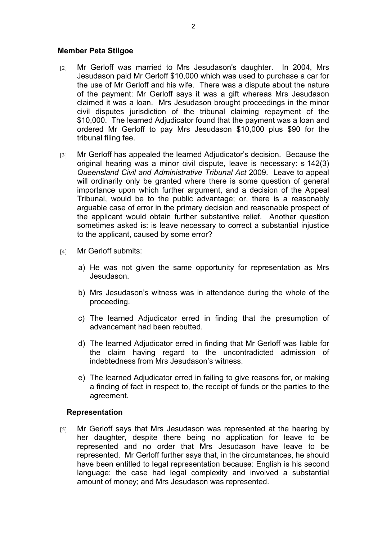#### **Member Peta Stilgoe**

- [2] Mr Gerloff was married to Mrs Jesudason's daughter. In 2004, Mrs Jesudason paid Mr Gerloff \$10,000 which was used to purchase a car for the use of Mr Gerloff and his wife. There was a dispute about the nature of the payment: Mr Gerloff says it was a gift whereas Mrs Jesudason claimed it was a loan. Mrs Jesudason brought proceedings in the minor civil disputes jurisdiction of the tribunal claiming repayment of the \$10,000. The learned Adjudicator found that the payment was a loan and ordered Mr Gerloff to pay Mrs Jesudason \$10,000 plus \$90 for the tribunal filing fee.
- [3] Mr Gerloff has appealed the learned Adjudicator's decision. Because the original hearing was a minor civil dispute, leave is necessary: s 142(3) *Queensland Civil and Administrative Tribunal Act* 2009. Leave to appeal will ordinarily only be granted where there is some question of general importance upon which further argument, and a decision of the Appeal Tribunal, would be to the public advantage; or, there is a reasonably arguable case of error in the primary decision and reasonable prospect of the applicant would obtain further substantive relief. Another question sometimes asked is: is leave necessary to correct a substantial injustice to the applicant, caused by some error?
- [4] Mr Gerloff submits:
	- a) He was not given the same opportunity for representation as Mrs Jesudason.
	- b) Mrs Jesudason's witness was in attendance during the whole of the proceeding.
	- c) The learned Adjudicator erred in finding that the presumption of advancement had been rebutted.
	- d) The learned Adjudicator erred in finding that Mr Gerloff was liable for the claim having regard to the uncontradicted admission of indebtedness from Mrs Jesudason's witness.
	- e) The learned Adjudicator erred in failing to give reasons for, or making a finding of fact in respect to, the receipt of funds or the parties to the agreement.

## **Representation**

[5] Mr Gerloff says that Mrs Jesudason was represented at the hearing by her daughter, despite there being no application for leave to be represented and no order that Mrs Jesudason have leave to be represented. Mr Gerloff further says that, in the circumstances, he should have been entitled to legal representation because: English is his second language; the case had legal complexity and involved a substantial amount of money; and Mrs Jesudason was represented.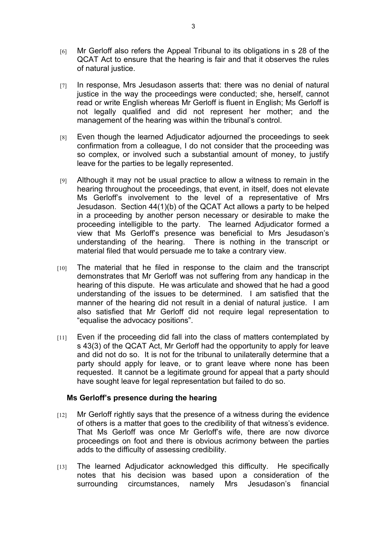- [6] Mr Gerloff also refers the Appeal Tribunal to its obligations in s 28 of the QCAT Act to ensure that the hearing is fair and that it observes the rules of natural justice.
- [7] In response, Mrs Jesudason asserts that: there was no denial of natural justice in the way the proceedings were conducted; she, herself, cannot read or write English whereas Mr Gerloff is fluent in English; Ms Gerloff is not legally qualified and did not represent her mother; and the management of the hearing was within the tribunal's control.
- [8] Even though the learned Adjudicator adjourned the proceedings to seek confirmation from a colleague, I do not consider that the proceeding was so complex, or involved such a substantial amount of money, to justify leave for the parties to be legally represented.
- [9] Although it may not be usual practice to allow a witness to remain in the hearing throughout the proceedings, that event, in itself, does not elevate Ms Gerloff's involvement to the level of a representative of Mrs Jesudason. Section 44(1)(b) of the QCAT Act allows a party to be helped in a proceeding by another person necessary or desirable to make the proceeding intelligible to the party. The learned Adjudicator formed a view that Ms Gerloff's presence was beneficial to Mrs Jesudason's understanding of the hearing. There is nothing in the transcript or material filed that would persuade me to take a contrary view.
- $[10]$  The material that he filed in response to the claim and the transcript demonstrates that Mr Gerloff was not suffering from any handicap in the hearing of this dispute. He was articulate and showed that he had a good understanding of the issues to be determined. I am satisfied that the manner of the hearing did not result in a denial of natural justice. I am also satisfied that Mr Gerloff did not require legal representation to "equalise the advocacy positions".
- $[11]$  Even if the proceeding did fall into the class of matters contemplated by s 43(3) of the QCAT Act, Mr Gerloff had the opportunity to apply for leave and did not do so. It is not for the tribunal to unilaterally determine that a party should apply for leave, or to grant leave where none has been requested. It cannot be a legitimate ground for appeal that a party should have sought leave for legal representation but failed to do so.

#### **Ms Gerloff's presence during the hearing**

- $[12]$  Mr Gerloff rightly says that the presence of a witness during the evidence of others is a matter that goes to the credibility of that witness's evidence. That Ms Gerloff was once Mr Gerloff's wife, there are now divorce proceedings on foot and there is obvious acrimony between the parties adds to the difficulty of assessing credibility.
- [13] The learned Adjudicator acknowledged this difficulty. He specifically notes that his decision was based upon a consideration of the surrounding circumstances, namely Mrs Jesudason's financial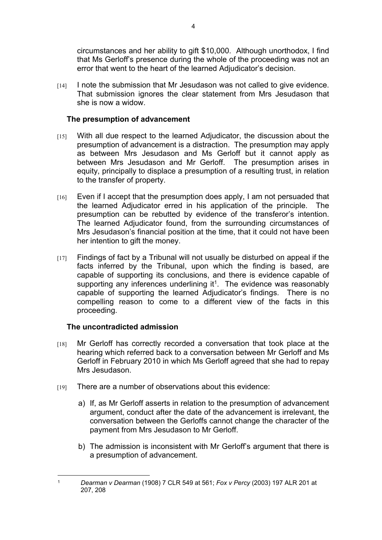circumstances and her ability to gift \$10,000. Although unorthodox, I find that Ms Gerloff's presence during the whole of the proceeding was not an error that went to the heart of the learned Adjudicator's decision.

[14] I note the submission that Mr Jesudason was not called to give evidence. That submission ignores the clear statement from Mrs Jesudason that she is now a widow.

# **The presumption of advancement**

- [15] With all due respect to the learned Adjudicator, the discussion about the presumption of advancement is a distraction. The presumption may apply as between Mrs Jesudason and Ms Gerloff but it cannot apply as between Mrs Jesudason and Mr Gerloff. The presumption arises in equity, principally to displace a presumption of a resulting trust, in relation to the transfer of property.
- [16] Even if I accept that the presumption does apply, I am not persuaded that the learned Adjudicator erred in his application of the principle. The presumption can be rebutted by evidence of the transferor's intention. The learned Adjudicator found, from the surrounding circumstances of Mrs Jesudason's financial position at the time, that it could not have been her intention to gift the money.
- $[17]$  Findings of fact by a Tribunal will not usually be disturbed on appeal if the facts inferred by the Tribunal, upon which the finding is based, are capable of supporting its conclusions, and there is evidence capable of supporting any inferences underlining it<sup>1</sup>. The evidence was reasonably capable of supporting the learned Adjudicator's findings. There is no compelling reason to come to a different view of the facts in this proceeding.

## **The uncontradicted admission**

- $[18]$  Mr Gerloff has correctly recorded a conversation that took place at the hearing which referred back to a conversation between Mr Gerloff and Ms Gerloff in February 2010 in which Ms Gerloff agreed that she had to repay Mrs Jesudason.
- $[19]$  There are a number of observations about this evidence:
	- a) If, as Mr Gerloff asserts in relation to the presumption of advancement argument, conduct after the date of the advancement is irrelevant, the conversation between the Gerloffs cannot change the character of the payment from Mrs Jesudason to Mr Gerloff.
	- b) The admission is inconsistent with Mr Gerloff's argument that there is a presumption of advancement.

<sup>1</sup> *Dearman v Dearman* (1908) 7 CLR 549 at 561; *Fox v Percy* (2003) 197 ALR 201 at 207, 208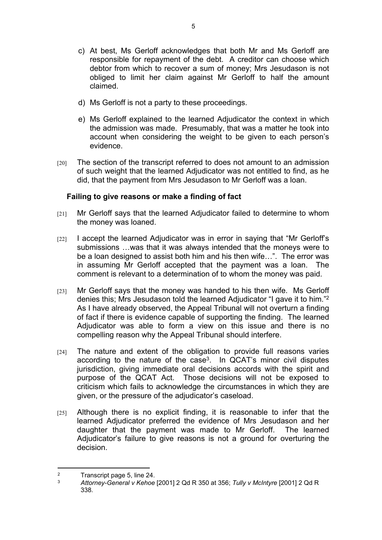- c) At best, Ms Gerloff acknowledges that both Mr and Ms Gerloff are responsible for repayment of the debt. A creditor can choose which debtor from which to recover a sum of money; Mrs Jesudason is not obliged to limit her claim against Mr Gerloff to half the amount claimed.
- d) Ms Gerloff is not a party to these proceedings.
- e) Ms Gerloff explained to the learned Adjudicator the context in which the admission was made. Presumably, that was a matter he took into account when considering the weight to be given to each person's evidence.
- [20] The section of the transcript referred to does not amount to an admission of such weight that the learned Adjudicator was not entitled to find, as he did, that the payment from Mrs Jesudason to Mr Gerloff was a loan.

## **Failing to give reasons or make a finding of fact**

- [21] Mr Gerloff says that the learned Adjudicator failed to determine to whom the money was loaned.
- $[22]$  I accept the learned Adjudicator was in error in saying that "Mr Gerloff's submissions …was that it was always intended that the moneys were to be a loan designed to assist both him and his then wife…". The error was in assuming Mr Gerloff accepted that the payment was a loan. The comment is relevant to a determination of to whom the money was paid.
- [23] Mr Gerloff says that the money was handed to his then wife. Ms Gerloff denies this; Mrs Jesudason told the learned Adjudicator "I gave it to him."<sup>2</sup> As I have already observed, the Appeal Tribunal will not overturn a finding of fact if there is evidence capable of supporting the finding. The learned Adjudicator was able to form a view on this issue and there is no compelling reason why the Appeal Tribunal should interfere.
- $[24]$  The nature and extent of the obligation to provide full reasons varies according to the nature of the case<sup>3</sup>. In QCAT's minor civil disputes jurisdiction, giving immediate oral decisions accords with the spirit and purpose of the QCAT Act. Those decisions will not be exposed to criticism which fails to acknowledge the circumstances in which they are given, or the pressure of the adjudicator's caseload.
- $[25]$  Although there is no explicit finding, it is reasonable to infer that the learned Adjudicator preferred the evidence of Mrs Jesudason and her daughter that the payment was made to Mr Gerloff. The learned Adjudicator's failure to give reasons is not a ground for overturing the decision.

 $\overline{2}$  $T$ Transcript page 5, line 24.<br>3  $4$ ttorney-General v Kehoe

<sup>3</sup> *Attorney-General v Kehoe* [2001] 2 Qd R 350 at 356; *Tully v McIntyre* [2001] 2 Qd R 338.